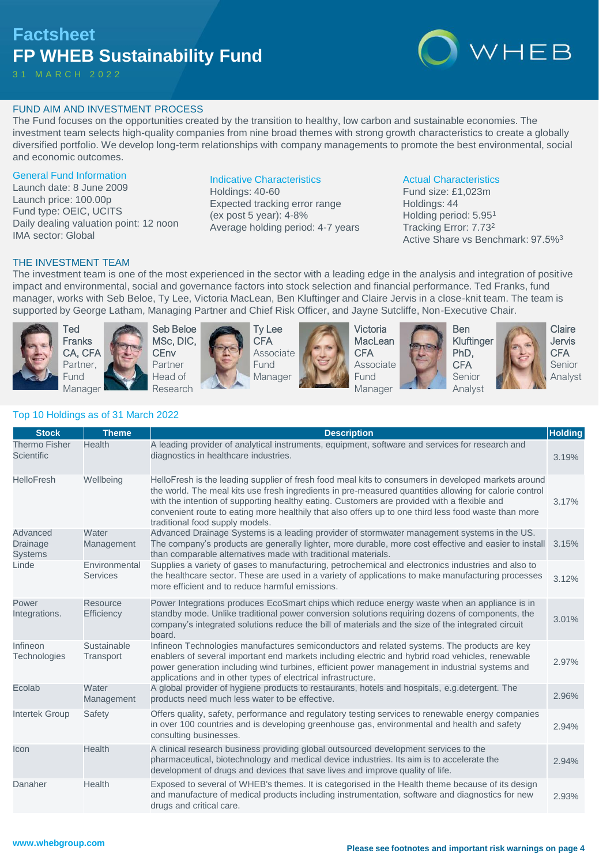# **Factsheet FP WHEB Sustainability Fund**

3 1 M A R C H 2 0 2 2



# FUND AIM AND INVESTMENT PROCESS

The Fund focuses on the opportunities created by the transition to healthy, low carbon and sustainable economies. The investment team selects high-quality companies from nine broad themes with strong growth characteristics to create a globally diversified portfolio. We develop long-term relationships with company managements to promote the best environmental, social and economic outcomes.

#### General Fund Information

Launch date: 8 June 2009 Launch price: 100.00p Fund type: OEIC, UCITS Daily dealing valuation point: 12 noon IMA sector: Global

# Indicative Characteristics

Holdings: 40-60 Expected tracking error range (ex post 5 year): 4-8% Average holding period: 4-7 years

#### Actual Characteristics

Fund size: £1,023m Holdings: 44 Holding period: 5.95<sup>1</sup> Tracking Error: 7.73<sup>2</sup> Active Share vs Benchmark: 97.5%<sup>3</sup>

# THE INVESTMENT TEAM

The investment team is one of the most experienced in the sector with a leading edge in the analysis and integration of positive impact and environmental, social and governance factors into stock selection and financial performance. Ted Franks, fund manager, works with Seb Beloe, Ty Lee, Victoria MacLean, Ben Kluftinger and Claire Jervis in a close-knit team. The team is supported by George Latham, Managing Partner and Chief Risk Officer, and Jayne Sutcliffe, Non-Executive Chair.



Ted Franks CA, CFA Partner, Fund Manager



Seb Beloe MSc, DIC, **CEnv** Partner Head of Research





Victoria **MacLean CFA** Associate **Fund** Manager





**Claire** Jervis **CFA** Senior Analyst

# Top 10 Holdings as of 31 March 2022

| <b>Stock</b>                              | <b>Theme</b>                     | <b>Description</b>                                                                                                                                                                                                                                                                                                                                                                                                                                      | <b>Holding</b> |
|-------------------------------------------|----------------------------------|---------------------------------------------------------------------------------------------------------------------------------------------------------------------------------------------------------------------------------------------------------------------------------------------------------------------------------------------------------------------------------------------------------------------------------------------------------|----------------|
| <b>Thermo Fisher</b><br><b>Scientific</b> | <b>Health</b>                    | A leading provider of analytical instruments, equipment, software and services for research and<br>diagnostics in healthcare industries.                                                                                                                                                                                                                                                                                                                | 3.19%          |
| <b>HelloFresh</b>                         | Wellbeing                        | HelloFresh is the leading supplier of fresh food meal kits to consumers in developed markets around<br>the world. The meal kits use fresh ingredients in pre-measured quantities allowing for calorie control<br>with the intention of supporting healthy eating. Customers are provided with a flexible and<br>convenient route to eating more healthily that also offers up to one third less food waste than more<br>traditional food supply models. | 3.17%          |
| Advanced<br>Drainage<br><b>Systems</b>    | Water<br>Management              | Advanced Drainage Systems is a leading provider of stormwater management systems in the US.<br>The company's products are generally lighter, more durable, more cost effective and easier to install<br>than comparable alternatives made with traditional materials.                                                                                                                                                                                   | 3.15%          |
| Linde                                     | Environmental<br><b>Services</b> | Supplies a variety of gases to manufacturing, petrochemical and electronics industries and also to<br>the healthcare sector. These are used in a variety of applications to make manufacturing processes<br>more efficient and to reduce harmful emissions.                                                                                                                                                                                             | 3.12%          |
| Power<br>Integrations.                    | <b>Resource</b><br>Efficiency    | Power Integrations produces EcoSmart chips which reduce energy waste when an appliance is in<br>standby mode. Unlike traditional power conversion solutions requiring dozens of components, the<br>company's integrated solutions reduce the bill of materials and the size of the integrated circuit<br>board.                                                                                                                                         | 3.01%          |
| Infineon<br><b>Technologies</b>           | Sustainable<br>Transport         | Infineon Technologies manufactures semiconductors and related systems. The products are key<br>enablers of several important end markets including electric and hybrid road vehicles, renewable<br>power generation including wind turbines, efficient power management in industrial systems and<br>applications and in other types of electrical infrastructure.                                                                                      | 2.97%          |
| Ecolab                                    | Water<br>Management              | A global provider of hygiene products to restaurants, hotels and hospitals, e.g.detergent. The<br>products need much less water to be effective.                                                                                                                                                                                                                                                                                                        | 2.96%          |
| <b>Intertek Group</b>                     | Safety                           | Offers quality, safety, performance and regulatory testing services to renewable energy companies<br>in over 100 countries and is developing greenhouse gas, environmental and health and safety<br>consulting businesses.                                                                                                                                                                                                                              | 2.94%          |
| Icon                                      | <b>Health</b>                    | A clinical research business providing global outsourced development services to the<br>pharmaceutical, biotechnology and medical device industries. Its aim is to accelerate the<br>development of drugs and devices that save lives and improve quality of life.                                                                                                                                                                                      | 2.94%          |
| Danaher                                   | Health                           | Exposed to several of WHEB's themes. It is categorised in the Health theme because of its design<br>and manufacture of medical products including instrumentation, software and diagnostics for new<br>drugs and critical care.                                                                                                                                                                                                                         | 2.93%          |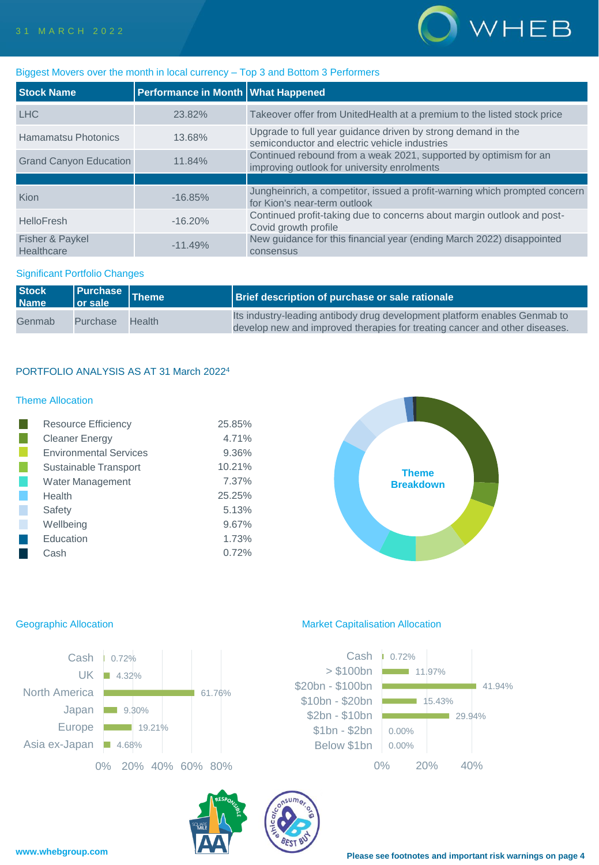

## Biggest Movers over the month in local currency – Top 3 and Bottom 3 Performers

| <b>Stock Name</b>             | Performance in Month What Happened |                                                                                                                 |
|-------------------------------|------------------------------------|-----------------------------------------------------------------------------------------------------------------|
| <b>LHC</b>                    | 23.82%                             | Takeover offer from UnitedHealth at a premium to the listed stock price                                         |
| Hamamatsu Photonics           | 13.68%                             | Upgrade to full year guidance driven by strong demand in the<br>semiconductor and electric vehicle industries   |
| <b>Grand Canyon Education</b> | 11.84%                             | Continued rebound from a weak 2021, supported by optimism for an<br>improving outlook for university enrolments |
|                               |                                    |                                                                                                                 |
| Kion                          | $-16.85%$                          | Jungheinrich, a competitor, issued a profit-warning which prompted concern<br>for Kion's near-term outlook      |
| <b>HelloFresh</b>             | $-16.20%$                          | Continued profit-taking due to concerns about margin outlook and post-<br>Covid growth profile                  |
| Fisher & Paykel<br>Healthcare | $-11.49%$                          | New guidance for this financial year (ending March 2022) disappointed<br>consensus                              |

# Significant Portfolio Changes

| <b>Stock</b><br><b>Name</b> | $\vert$ or sale | <b>Purchase</b> Theme | Brief description of purchase or sale rationale                                                                                                         |
|-----------------------------|-----------------|-----------------------|---------------------------------------------------------------------------------------------------------------------------------------------------------|
| Genmab                      | Purchase        | <b>Health</b>         | Its industry-leading antibody drug development platform enables Genmab to<br>develop new and improved therapies for treating cancer and other diseases. |

# PORTFOLIO ANALYSIS AS AT 31 March 2022<sup>4</sup>

# Theme Allocation

| <b>Resource Efficiency</b>    | 25.85% |
|-------------------------------|--------|
| <b>Cleaner Energy</b>         | 4.71%  |
| <b>Environmental Services</b> | 9.36%  |
| Sustainable Transport         | 10.21% |
| Water Management              | 7.37%  |
| Health                        | 25.25% |
| Safety                        | 5.13%  |
| Wellbeing                     | 9.67%  |
| Education                     | 1.73%  |
| Cash                          | 0.72%  |





## Geographic Allocation **Market Capitalisation Allocation** Market Capitalisation Allocation



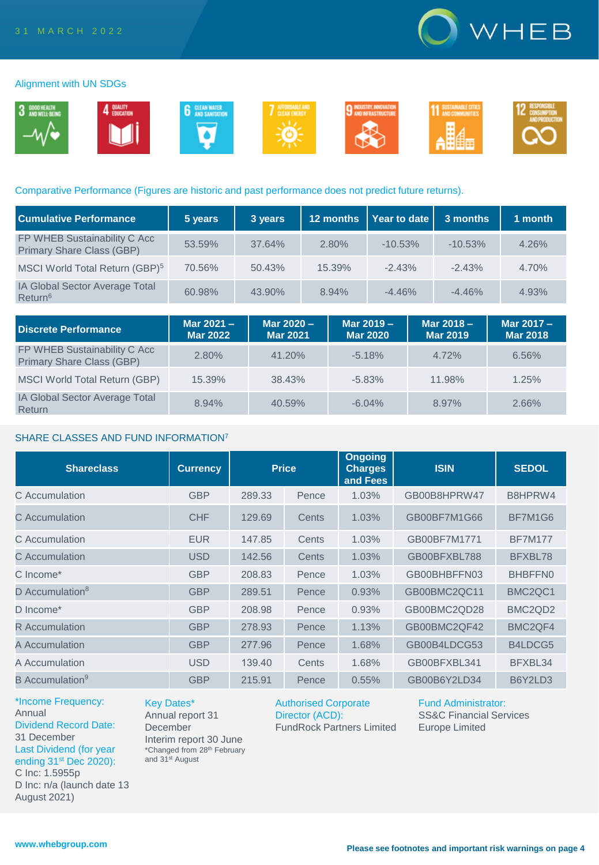

#### Alignment with UN SDGs



## Comparative Performance (Figures are historic and past performance does not predict future returns).

| <b>Cumulative Performance</b>                             | 5 years | 3 years | 12 months | Year to date | 3 months  | 1 month |
|-----------------------------------------------------------|---------|---------|-----------|--------------|-----------|---------|
| FP WHEB Sustainability C Acc<br>Primary Share Class (GBP) | 53.59%  | 37.64%  | 2.80%     | $-10.53%$    | $-10.53%$ | 4.26%   |
| MSCI World Total Return (GBP) <sup>5</sup>                | 70.56%  | 50.43%  | 15.39%    | $-2.43%$     | $-2.43%$  | 4.70%   |
| IA Global Sector Average Total<br>Return <sup>6</sup>     | 60.98%  | 43.90%  | 8.94%     | $-4.46%$     | $-4.46%$  | 4.93%   |

| <b>Discrete Performance</b>                                      | Mar 2021 -<br><b>Mar 2022</b> | Mar 2020 -<br><b>Mar 2021</b> | Mar 2019 -<br><b>Mar 2020</b> | Mar 2018 -<br><b>Mar 2019</b> | Mar 2017 -<br><b>Mar 2018</b> |
|------------------------------------------------------------------|-------------------------------|-------------------------------|-------------------------------|-------------------------------|-------------------------------|
| FP WHEB Sustainability C Acc<br><b>Primary Share Class (GBP)</b> | 2.80%                         | 41.20%                        | $-5.18%$                      | 4.72%                         | 6.56%                         |
| MSCI World Total Return (GBP)                                    | 15.39%                        | 38.43%                        | $-5.83%$                      | 11.98%                        | 1.25%                         |
| <b>IA Global Sector Average Total</b><br>Return                  | 8.94%                         | 40.59%                        | $-6.04%$                      | 8.97%                         | 2.66%                         |

# SHARE CLASSES AND FUND INFORMATION<sup>7</sup>

| <b>Shareclass</b>           | <b>Currency</b> | <b>Price</b> |       | <b>Ongoing</b><br><b>Charges</b><br>and Fees | <b>ISIN</b>  | <b>SEDOL</b>                     |
|-----------------------------|-----------------|--------------|-------|----------------------------------------------|--------------|----------------------------------|
| C Accumulation              | <b>GBP</b>      | 289.33       | Pence | 1.03%                                        | GB00B8HPRW47 | B8HPRW4                          |
| C Accumulation              | <b>CHF</b>      | 129.69       | Cents | 1.03%                                        | GB00BF7M1G66 | BF7M1G6                          |
| C Accumulation              | <b>EUR</b>      | 147.85       | Cents | 1.03%                                        | GB00BF7M1771 | <b>BF7M177</b>                   |
| C Accumulation              | <b>USD</b>      | 142.56       | Cents | 1.03%                                        | GB00BFXBL788 | BFXBL78                          |
| C Income*                   | <b>GBP</b>      | 208.83       | Pence | 1.03%                                        | GB00BHBFFN03 | BHBFFN0                          |
| D Accumulation <sup>8</sup> | <b>GBP</b>      | 289.51       | Pence | 0.93%                                        | GB00BMC2QC11 | BMC <sub>2</sub> QC <sub>1</sub> |
| D Income*                   | <b>GBP</b>      | 208.98       | Pence | 0.93%                                        | GB00BMC2QD28 | BMC <sub>2</sub> Q <sub>D2</sub> |
| <b>R</b> Accumulation       | <b>GBP</b>      | 278.93       | Pence | 1.13%                                        | GB00BMC2QF42 | BMC <sub>2</sub> QF4             |
| A Accumulation              | <b>GBP</b>      | 277.96       | Pence | 1.68%                                        | GB00B4LDCG53 | B4LDCG5                          |
| A Accumulation              | <b>USD</b>      | 139.40       | Cents | 1.68%                                        | GB00BFXBL341 | BFXBL34                          |
| B Accumulation <sup>9</sup> | <b>GBP</b>      | 215.91       | Pence | 0.55%                                        | GB00B6Y2LD34 | B6Y2LD3                          |

#### \*Income Frequency: Annual Dividend Record Date: 31 December Last Dividend (for year ending 31<sup>st</sup> Dec 2020): C Inc: 1.5955p

D Inc: n/a (launch date 13 August 2021)

Key Dates\* Annual report 31 December

and 31st August

Interim report 30 June \*Changed from 28th February

Authorised Corporate Director (ACD): FundRock Partners Limited

Fund Administrator: SS&C Financial Services Europe Limited